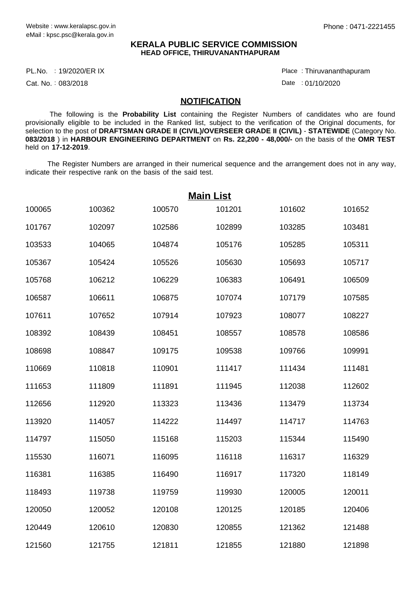## **KERALA PUBLIC SERVICE COMMISSION HEAD OFFICE, THIRUVANANTHAPURAM**

PL.No. : 19/2020/ER IX Place Provided at the set of the set of the set of the set of the set of the set of the

Cat. No.: 083/2018

Thiruvananthapuram :

Date : 01/10/2020

## **NOTIFICATION**

 The following is the **Probability List** containing the Register Numbers of candidates who are found provisionally eligible to be included in the Ranked list, subject to the verification of the Original documents, for selection to the post of **DRAFTSMAN GRADE II (CIVIL)/OVERSEER GRADE II (CIVIL)** - **STATEWIDE** (Category No. **083/2018** ) in **HARBOUR ENGINEERING DEPARTMENT** on **Rs. 22,200 - 48,000/-** on the basis of the **OMR TEST** held on **17-12-2019**.

 The Register Numbers are arranged in their numerical sequence and the arrangement does not in any way, indicate their respective rank on the basis of the said test.

| <b>Main List</b> |        |        |        |        |        |  |  |  |
|------------------|--------|--------|--------|--------|--------|--|--|--|
| 100065           | 100362 | 100570 | 101201 | 101602 | 101652 |  |  |  |
| 101767           | 102097 | 102586 | 102899 | 103285 | 103481 |  |  |  |
| 103533           | 104065 | 104874 | 105176 | 105285 | 105311 |  |  |  |
| 105367           | 105424 | 105526 | 105630 | 105693 | 105717 |  |  |  |
| 105768           | 106212 | 106229 | 106383 | 106491 | 106509 |  |  |  |
| 106587           | 106611 | 106875 | 107074 | 107179 | 107585 |  |  |  |
| 107611           | 107652 | 107914 | 107923 | 108077 | 108227 |  |  |  |
| 108392           | 108439 | 108451 | 108557 | 108578 | 108586 |  |  |  |
| 108698           | 108847 | 109175 | 109538 | 109766 | 109991 |  |  |  |
| 110669           | 110818 | 110901 | 111417 | 111434 | 111481 |  |  |  |
| 111653           | 111809 | 111891 | 111945 | 112038 | 112602 |  |  |  |
| 112656           | 112920 | 113323 | 113436 | 113479 | 113734 |  |  |  |
| 113920           | 114057 | 114222 | 114497 | 114717 | 114763 |  |  |  |
| 114797           | 115050 | 115168 | 115203 | 115344 | 115490 |  |  |  |
| 115530           | 116071 | 116095 | 116118 | 116317 | 116329 |  |  |  |
| 116381           | 116385 | 116490 | 116917 | 117320 | 118149 |  |  |  |
| 118493           | 119738 | 119759 | 119930 | 120005 | 120011 |  |  |  |
| 120050           | 120052 | 120108 | 120125 | 120185 | 120406 |  |  |  |
| 120449           | 120610 | 120830 | 120855 | 121362 | 121488 |  |  |  |
| 121560           | 121755 | 121811 | 121855 | 121880 | 121898 |  |  |  |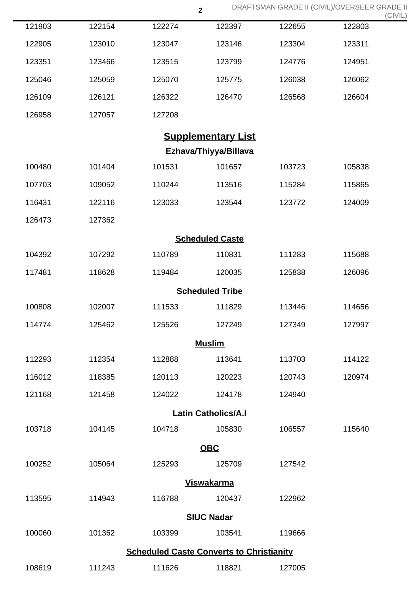|                            |        |                                                 | $\overline{\mathbf{2}}$ | DRAFTSMAN GRADE II (CIVIL)/OVERSEER GRADE II |        | (CIVIL) |  |  |  |
|----------------------------|--------|-------------------------------------------------|-------------------------|----------------------------------------------|--------|---------|--|--|--|
| 121903                     | 122154 | 122274                                          | 122397                  | 122655                                       | 122803 |         |  |  |  |
| 122905                     | 123010 | 123047                                          | 123146                  | 123304                                       | 123311 |         |  |  |  |
| 123351                     | 123466 | 123515                                          | 123799                  | 124776                                       | 124951 |         |  |  |  |
| 125046                     | 125059 | 125070                                          | 125775                  | 126038                                       | 126062 |         |  |  |  |
| 126109                     | 126121 | 126322                                          | 126470                  | 126568                                       | 126604 |         |  |  |  |
| 126958                     | 127057 | 127208                                          |                         |                                              |        |         |  |  |  |
| <b>Supplementary List</b>  |        |                                                 |                         |                                              |        |         |  |  |  |
| Ezhava/Thiyya/Billava      |        |                                                 |                         |                                              |        |         |  |  |  |
| 100480                     | 101404 | 101531                                          | 101657                  | 103723                                       | 105838 |         |  |  |  |
| 107703                     | 109052 | 110244                                          | 113516                  | 115284                                       | 115865 |         |  |  |  |
| 116431                     | 122116 | 123033                                          | 123544                  | 123772                                       | 124009 |         |  |  |  |
| 126473                     | 127362 |                                                 |                         |                                              |        |         |  |  |  |
| <b>Scheduled Caste</b>     |        |                                                 |                         |                                              |        |         |  |  |  |
| 104392                     | 107292 | 110789                                          | 110831                  | 111283                                       | 115688 |         |  |  |  |
| 117481                     | 118628 | 119484                                          | 120035                  | 125838                                       | 126096 |         |  |  |  |
| <b>Scheduled Tribe</b>     |        |                                                 |                         |                                              |        |         |  |  |  |
| 100808                     | 102007 | 111533                                          | 111829                  | 113446                                       | 114656 |         |  |  |  |
| 114774                     | 125462 | 125526                                          | 127249                  | 127349                                       | 127997 |         |  |  |  |
|                            |        |                                                 | <b>Muslim</b>           |                                              |        |         |  |  |  |
| 112293                     | 112354 | 112888                                          | 113641                  | 113703                                       | 114122 |         |  |  |  |
| 116012                     | 118385 | 120113                                          | 120223                  | 120743                                       | 120974 |         |  |  |  |
| 121168                     | 121458 | 124022                                          | 124178                  | 124940                                       |        |         |  |  |  |
| <b>Latin Catholics/A.I</b> |        |                                                 |                         |                                              |        |         |  |  |  |
| 103718                     | 104145 | 104718                                          | 105830                  | 106557                                       | 115640 |         |  |  |  |
|                            |        |                                                 | <b>OBC</b>              |                                              |        |         |  |  |  |
| 100252                     | 105064 | 125293                                          | 125709                  | 127542                                       |        |         |  |  |  |
| <b>Viswakarma</b>          |        |                                                 |                         |                                              |        |         |  |  |  |
| 113595                     | 114943 | 116788                                          | 120437                  | 122962                                       |        |         |  |  |  |
| <b>SIUC Nadar</b>          |        |                                                 |                         |                                              |        |         |  |  |  |
| 100060                     | 101362 | 103399                                          | 103541                  | 119666                                       |        |         |  |  |  |
|                            |        | <b>Scheduled Caste Converts to Christianity</b> |                         |                                              |        |         |  |  |  |
| 108619                     | 111243 | 111626                                          | 118821                  | 127005                                       |        |         |  |  |  |

DRAFTSMAN GRADE II (CIVIL)/OVERSEER GRADE II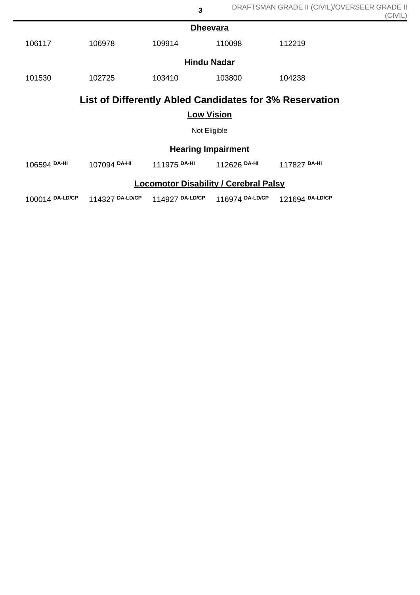| <b>Dheevara</b>                                                |              |              |              |              |  |  |  |
|----------------------------------------------------------------|--------------|--------------|--------------|--------------|--|--|--|
| 106117                                                         | 106978       | 109914       | 110098       | 112219       |  |  |  |
| <b>Hindu Nadar</b>                                             |              |              |              |              |  |  |  |
| 101530                                                         | 102725       | 103410       | 103800       | 104238       |  |  |  |
| <b>List of Differently Abled Candidates for 3% Reservation</b> |              |              |              |              |  |  |  |
| <b>Low Vision</b>                                              |              |              |              |              |  |  |  |
| Not Eligible                                                   |              |              |              |              |  |  |  |
| <b>Hearing Impairment</b>                                      |              |              |              |              |  |  |  |
| 106594 DA-HI                                                   | 107094 DA-HI | 111975 DA-HI | 112626 DA-HI | 117827 DA-HI |  |  |  |
| <b>Locomotor Disability / Cerebral Palsy</b>                   |              |              |              |              |  |  |  |

**3**

100014 **DA-LD/CP** 114327 **DA-LD/CP** 114927 **DA-LD/CP** 116974 **DA-LD/CP** 121694 **DA-LD/CP**